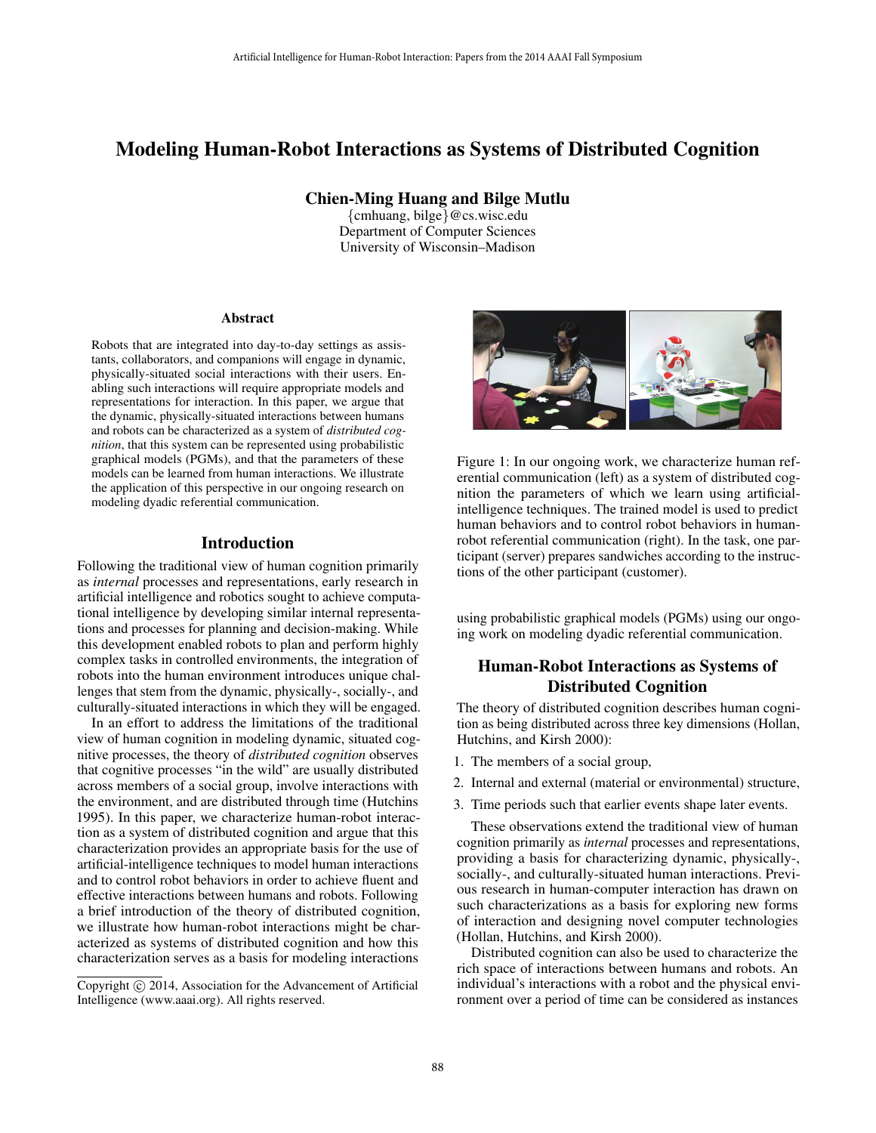# Modeling Human-Robot Interactions as Systems of Distributed Cognition

Chien-Ming Huang and Bilge Mutlu

{cmhuang, bilge}@cs.wisc.edu Department of Computer Sciences University of Wisconsin–Madison

#### Abstract

Robots that are integrated into day-to-day settings as assistants, collaborators, and companions will engage in dynamic, physically-situated social interactions with their users. Enabling such interactions will require appropriate models and representations for interaction. In this paper, we argue that the dynamic, physically-situated interactions between humans and robots can be characterized as a system of *distributed cognition*, that this system can be represented using probabilistic graphical models (PGMs), and that the parameters of these models can be learned from human interactions. We illustrate the application of this perspective in our ongoing research on modeling dyadic referential communication.

### Introduction

Following the traditional view of human cognition primarily as *internal* processes and representations, early research in artificial intelligence and robotics sought to achieve computational intelligence by developing similar internal representations and processes for planning and decision-making. While this development enabled robots to plan and perform highly complex tasks in controlled environments, the integration of robots into the human environment introduces unique challenges that stem from the dynamic, physically-, socially-, and culturally-situated interactions in which they will be engaged.

In an effort to address the limitations of the traditional view of human cognition in modeling dynamic, situated cognitive processes, the theory of *distributed cognition* observes that cognitive processes "in the wild" are usually distributed across members of a social group, involve interactions with the environment, and are distributed through time (Hutchins 1995). In this paper, we characterize human-robot interaction as a system of distributed cognition and argue that this characterization provides an appropriate basis for the use of artificial-intelligence techniques to model human interactions and to control robot behaviors in order to achieve fluent and effective interactions between humans and robots. Following a brief introduction of the theory of distributed cognition, we illustrate how human-robot interactions might be characterized as systems of distributed cognition and how this characterization serves as a basis for modeling interactions Artificial Intelligence for Human-Robot Interactions: and Symposium (Figure 100) (Chien-Ming Human-Robot Interactions: 168 Artificial Department of Computer Science (Investig of Wickcots) (Interactions: 168 Artificial Dep



Figure 1: In our ongoing work, we characterize human referential communication (left) as a system of distributed cognition the parameters of which we learn using artificialintelligence techniques. The trained model is used to predict human behaviors and to control robot behaviors in humanrobot referential communication (right). In the task, one participant (server) prepares sandwiches according to the instructions of the other participant (customer).

using probabilistic graphical models (PGMs) using our ongoing work on modeling dyadic referential communication.

### Human-Robot Interactions as Systems of Distributed Cognition

The theory of distributed cognition describes human cognition as being distributed across three key dimensions (Hollan, Hutchins, and Kirsh 2000):

- 1. The members of a social group,
- 2. Internal and external (material or environmental) structure,
- 3. Time periods such that earlier events shape later events.

These observations extend the traditional view of human cognition primarily as *internal* processes and representations, providing a basis for characterizing dynamic, physically-, socially-, and culturally-situated human interactions. Previous research in human-computer interaction has drawn on such characterizations as a basis for exploring new forms of interaction and designing novel computer technologies (Hollan, Hutchins, and Kirsh 2000).

Distributed cognition can also be used to characterize the rich space of interactions between humans and robots. An individual's interactions with a robot and the physical environment over a period of time can be considered as instances

Copyright  $\odot$  2014, Association for the Advancement of Artificial Intelligence (www.aaai.org). All rights reserved.